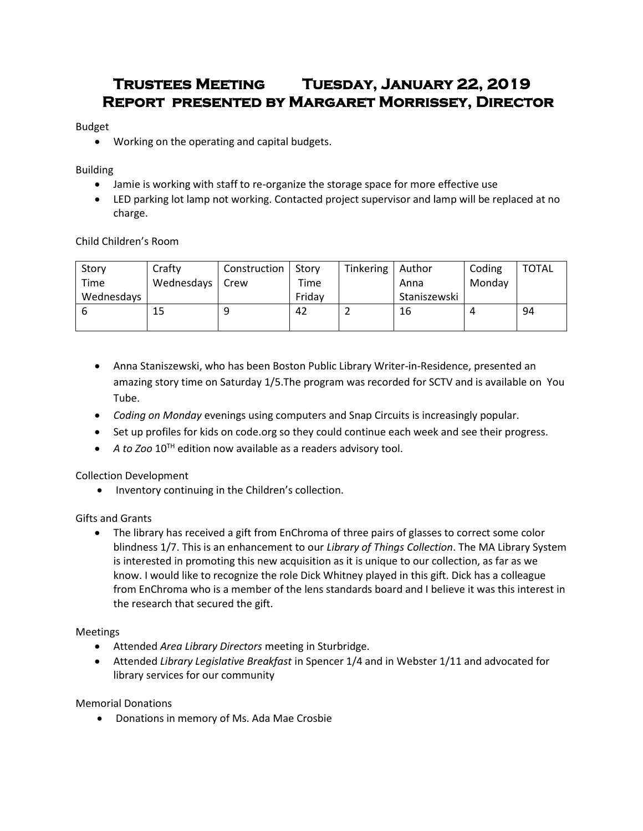# **Trustees Meeting Tuesday, January 22, 2019 Report presented by Margaret Morrissey, Director**

## Budget

Working on the operating and capital budgets.

## Building

- Jamie is working with staff to re-organize the storage space for more effective use
- LED parking lot lamp not working. Contacted project supervisor and lamp will be replaced at no charge.

Child Children's Room

| Story      | Crafty     | Construction | Story  | Tinkering   Author |              | Coding         | <b>TOTAL</b> |
|------------|------------|--------------|--------|--------------------|--------------|----------------|--------------|
| Time       | Wednesdays | Crew         | Time   |                    | Anna         | Monday         |              |
| Wednesdays |            |              | Friday |                    | Staniszewski |                |              |
|            | 15         |              | 42     |                    | 16           | $\overline{a}$ | 94           |
|            |            |              |        |                    |              |                |              |

- Anna Staniszewski, who has been Boston Public Library Writer-in-Residence, presented an amazing story time on Saturday 1/5.The program was recorded for SCTV and is available on You Tube.
- *Coding on Monday* evenings using computers and Snap Circuits is increasingly popular.
- Set up profiles for kids on code.org so they could continue each week and see their progress.
- *A to Zoo* 10TH edition now available as a readers advisory tool.

Collection Development

• Inventory continuing in the Children's collection.

# Gifts and Grants

• The library has received a gift from EnChroma of three pairs of glasses to correct some color blindness 1/7. This is an enhancement to our *Library of Things Collection*. The MA Library System is interested in promoting this new acquisition as it is unique to our collection, as far as we know. I would like to recognize the role Dick Whitney played in this gift. Dick has a colleague from EnChroma who is a member of the lens standards board and I believe it was this interest in the research that secured the gift.

# Meetings

- Attended *Area Library Directors* meeting in Sturbridge.
- Attended *Library Legislative Breakfast* in Spencer 1/4 and in Webster 1/11 and advocated for library services for our community

# Memorial Donations

Donations in memory of Ms. Ada Mae Crosbie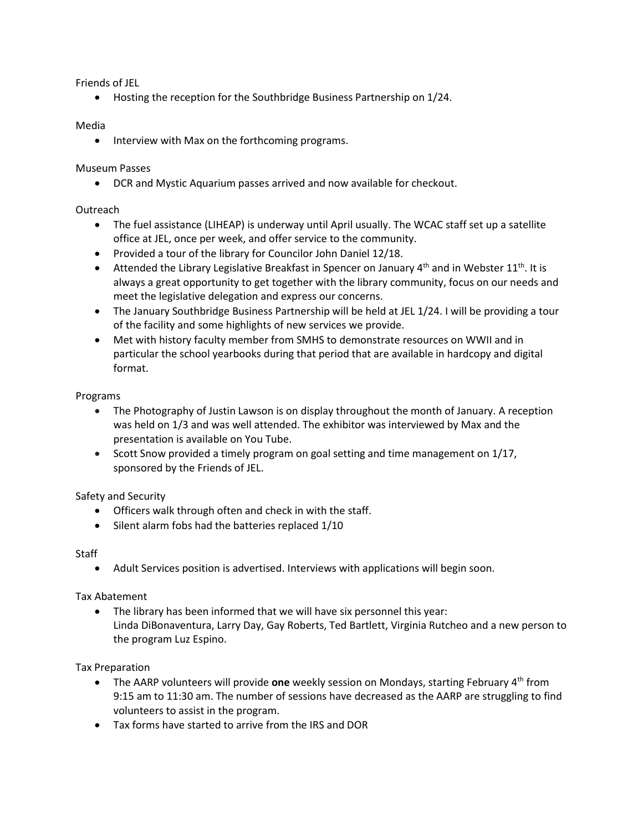Friends of JEL

Hosting the reception for the Southbridge Business Partnership on 1/24.

## Media

• Interview with Max on the forthcoming programs.

## Museum Passes

DCR and Mystic Aquarium passes arrived and now available for checkout.

## Outreach

- The fuel assistance (LIHEAP) is underway until April usually. The WCAC staff set up a satellite office at JEL, once per week, and offer service to the community.
- Provided a tour of the library for Councilor John Daniel 12/18.
- **•** Attended the Library Legislative Breakfast in Spencer on January  $4<sup>th</sup>$  and in Webster 11<sup>th</sup>. It is always a great opportunity to get together with the library community, focus on our needs and meet the legislative delegation and express our concerns.
- The January Southbridge Business Partnership will be held at JEL 1/24. I will be providing a tour of the facility and some highlights of new services we provide.
- Met with history faculty member from SMHS to demonstrate resources on WWII and in particular the school yearbooks during that period that are available in hardcopy and digital format.

#### Programs

- The Photography of Justin Lawson is on display throughout the month of January. A reception was held on 1/3 and was well attended. The exhibitor was interviewed by Max and the presentation is available on You Tube.
- $\bullet$  Scott Snow provided a timely program on goal setting and time management on 1/17, sponsored by the Friends of JEL.

# Safety and Security

- Officers walk through often and check in with the staff.
- Silent alarm fobs had the batteries replaced 1/10

#### **Staff**

Adult Services position is advertised. Interviews with applications will begin soon.

#### Tax Abatement

 The library has been informed that we will have six personnel this year: Linda DiBonaventura, Larry Day, Gay Roberts, Ted Bartlett, Virginia Rutcheo and a new person to the program Luz Espino.

#### Tax Preparation

- The AARP volunteers will provide **one** weekly session on Mondays, starting February 4th from 9:15 am to 11:30 am. The number of sessions have decreased as the AARP are struggling to find volunteers to assist in the program.
- Tax forms have started to arrive from the IRS and DOR